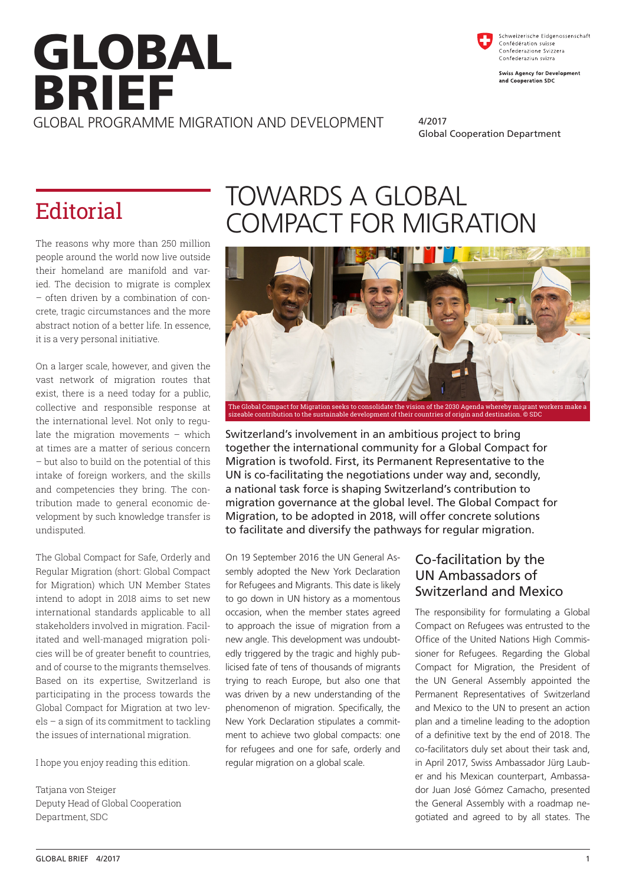# GLOBAL BRIEF GLOBAL PROGRAMME MIGRATION AND DEVELOPMENT

Schweizerische Eidgenossenschaft Confédération suisse<br>Confederazione Svizzera Confederaziun svizr

**Swiss Agency for Development** and Cooperation SDC

4/2017 Global Cooperation Department

The reasons why more than 250 million people around the world now live outside their homeland are manifold and varied. The decision to migrate is complex – often driven by a combination of concrete, tragic circumstances and the more abstract notion of a better life. In essence, it is a very personal initiative.

On a larger scale, however, and given the vast network of migration routes that exist, there is a need today for a public, collective and responsible response at the international level. Not only to regulate the migration movements – which at times are a matter of serious concern – but also to build on the potential of this intake of foreign workers, and the skills and competencies they bring. The contribution made to general economic development by such knowledge transfer is undisputed.

The Global Compact for Safe, Orderly and Regular Migration (short: Global Compact for Migration) which UN Member States intend to adopt in 2018 aims to set new international standards applicable to all stakeholders involved in migration. Facilitated and well-managed migration policies will be of greater benefit to countries, and of course to the migrants themselves. Based on its expertise, Switzerland is participating in the process towards the Global Compact for Migration at two levels – a sign of its commitment to tackling the issues of international migration.

I hope you enjoy reading this edition.

Tatjana von Steiger Deputy Head of Global Cooperation Department, SDC

## TOWARDS A GLOBAL Editorial COMPACT FOR MIGRATION



Switzerland's involvement in an ambitious project to bring together the international community for a Global Compact for Migration is twofold. First, its Permanent Representative to the UN is co-facilitating the negotiations under way and, secondly, a national task force is shaping Switzerland's contribution to migration governance at the global level. The Global Compact for Migration, to be adopted in 2018, will offer concrete solutions to facilitate and diversify the pathways for regular migration.

On 19 September 2016 the UN General Assembly adopted the New York Declaration for Refugees and Migrants. This date is likely to go down in UN history as a momentous occasion, when the member states agreed to approach the issue of migration from a new angle. This development was undoubtedly triggered by the tragic and highly publicised fate of tens of thousands of migrants trying to reach Europe, but also one that was driven by a new understanding of the phenomenon of migration. Specifically, the New York Declaration stipulates a commitment to achieve two global compacts: one for refugees and one for safe, orderly and regular migration on a global scale.

### Co-facilitation by the UN Ambassadors of Switzerland and Mexico

The responsibility for formulating a Global Compact on Refugees was entrusted to the Office of the United Nations High Commissioner for Refugees. Regarding the Global Compact for Migration, the President of the UN General Assembly appointed the Permanent Representatives of Switzerland and Mexico to the UN to present an action plan and a timeline leading to the adoption of a definitive text by the end of 2018. The co-facilitators duly set about their task and, in April 2017, Swiss Ambassador Jürg Lauber and his Mexican counterpart, Ambassador Juan José Gómez Camacho, presented the General Assembly with a roadmap negotiated and agreed to by all states. The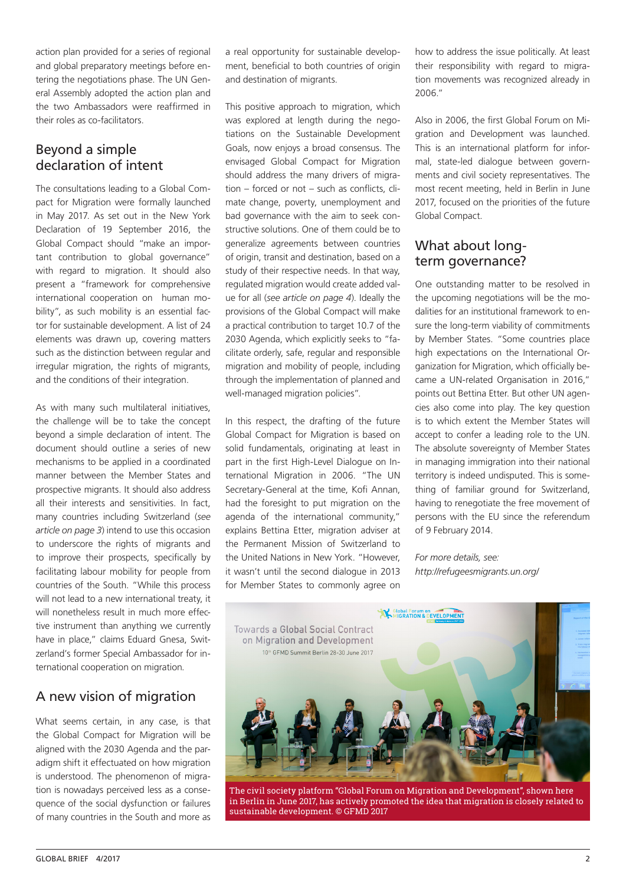action plan provided for a series of regional and global preparatory meetings before entering the negotiations phase. The UN General Assembly adopted the action plan and the two Ambassadors were reaffirmed in their roles as co-facilitators.

### Beyond a simple declaration of intent

The consultations leading to a Global Compact for Migration were formally launched in May 2017. As set out in the New York Declaration of 19 September 2016, the Global Compact should "make an important contribution to global governance" with regard to migration. It should also present a "framework for comprehensive international cooperation on human mobility", as such mobility is an essential factor for sustainable development. A list of 24 elements was drawn up, covering matters such as the distinction between regular and irregular migration, the rights of migrants, and the conditions of their integration.

As with many such multilateral initiatives, the challenge will be to take the concept beyond a simple declaration of intent. The document should outline a series of new mechanisms to be applied in a coordinated manner between the Member States and prospective migrants. It should also address all their interests and sensitivities. In fact, many countries including Switzerland (*see article on page 3*) intend to use this occasion to underscore the rights of migrants and to improve their prospects, specifically by facilitating labour mobility for people from countries of the South. "While this process will not lead to a new international treaty, it will nonetheless result in much more effective instrument than anything we currently have in place," claims Eduard Gnesa, Switzerland's former Special Ambassador for international cooperation on migration*.*

### A new vision of migration

What seems certain, in any case, is that the Global Compact for Migration will be aligned with the 2030 Agenda and the paradigm shift it effectuated on how migration is understood. The phenomenon of migration is nowadays perceived less as a consequence of the social dysfunction or failures of many countries in the South and more as a real opportunity for sustainable development, beneficial to both countries of origin and destination of migrants.

This positive approach to migration, which was explored at length during the negotiations on the Sustainable Development Goals, now enjoys a broad consensus. The envisaged Global Compact for Migration should address the many drivers of migration – forced or not – such as conflicts, climate change, poverty, unemployment and bad governance with the aim to seek constructive solutions. One of them could be to generalize agreements between countries of origin, transit and destination, based on a study of their respective needs. In that way, regulated migration would create added value for all (*see article on page 4*). Ideally the provisions of the Global Compact will make a practical contribution to target 10.7 of the 2030 Agenda, which explicitly seeks to "facilitate orderly, safe, regular and responsible migration and mobility of people, including through the implementation of planned and well-managed migration policies".

In this respect, the drafting of the future Global Compact for Migration is based on solid fundamentals, originating at least in part in the first High-Level Dialogue on International Migration in 2006. "The UN Secretary-General at the time, Kofi Annan, had the foresight to put migration on the agenda of the international community," explains Bettina Etter, migration adviser at the Permanent Mission of Switzerland to the United Nations in New York. "However, it wasn't until the second dialogue in 2013 for Member States to commonly agree on how to address the issue politically. At least their responsibility with regard to migration movements was recognized already in 2006."

Also in 2006, the first Global Forum on Migration and Development was launched. This is an international platform for informal, state-led dialogue between governments and civil society representatives. The most recent meeting, held in Berlin in June 2017, focused on the priorities of the future Global Compact.

### What about longterm governance?

One outstanding matter to be resolved in the upcoming negotiations will be the modalities for an institutional framework to ensure the long-term viability of commitments by Member States. "Some countries place high expectations on the International Organization for Migration, which officially became a UN-related Organisation in 2016," points out Bettina Etter. But other UN agencies also come into play. The key question is to which extent the Member States will accept to confer a leading role to the UN. The absolute sovereignty of Member States in managing immigration into their national territory is indeed undisputed. This is something of familiar ground for Switzerland, having to renegotiate the free movement of persons with the EU since the referendum of 9 February 2014.

*For more details, see: http://refugeesmigrants.un.org/*



The civil society platform "Global Forum on Migration and Development", shown here in Berlin in June 2017, has actively promoted the idea that migration is closely related to sustainable development. © GFMD 2017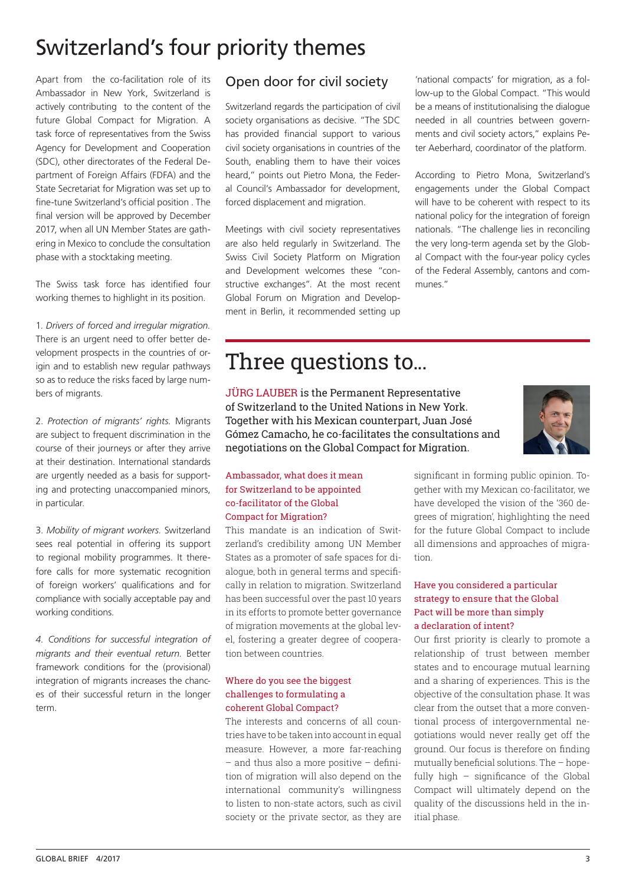### Switzerland's four priority themes

Apart from the co-facilitation role of its Ambassador in New York, Switzerland is actively contributing to the content of the future Global Compact for Migration. A task force of representatives from the Swiss Agency for Development and Cooperation (SDC), other directorates of the Federal Department of Foreign Affairs (FDFA) and the State Secretariat for Migration was set up to fine-tune Switzerland's official position . The final version will be approved by December 2017, when all UN Member States are gathering in Mexico to conclude the consultation phase with a stocktaking meeting.

The Swiss task force has identified four working themes to highlight in its position.

1. *Drivers of forced and irregular migration.*  There is an urgent need to offer better development prospects in the countries of origin and to establish new regular pathways so as to reduce the risks faced by large numbers of migrants.

2. *Protection of migrants' rights.* Migrants are subject to frequent discrimination in the course of their journeys or after they arrive at their destination. International standards are urgently needed as a basis for supporting and protecting unaccompanied minors, in particular.

3. *Mobility of migrant workers.* Switzerland sees real potential in offering its support to regional mobility programmes. It therefore calls for more systematic recognition of foreign workers' qualifications and for compliance with socially acceptable pay and working conditions.

*4. Conditions for successful integration of migrants and their eventual return.* Better framework conditions for the (provisional) integration of migrants increases the chances of their successful return in the longer term.

### Open door for civil society

Switzerland regards the participation of civil society organisations as decisive. "The SDC has provided financial support to various civil society organisations in countries of the South, enabling them to have their voices heard," points out Pietro Mona, the Federal Council's Ambassador for development, forced displacement and migration.

Meetings with civil society representatives are also held regularly in Switzerland. The Swiss Civil Society Platform on Migration and Development welcomes these "constructive exchanges". At the most recent Global Forum on Migration and Development in Berlin, it recommended setting up

'national compacts' for migration, as a follow-up to the Global Compact. "This would be a means of institutionalising the dialogue needed in all countries between governments and civil society actors," explains Peter Aeberhard, coordinator of the platform.

According to Pietro Mona, Switzerland's engagements under the Global Compact will have to be coherent with respect to its national policy for the integration of foreign nationals. "The challenge lies in reconciling the very long-term agenda set by the Global Compact with the four-year policy cycles of the Federal Assembly, cantons and communes."

### Three questions to...

JÜRG LAUBER is the Permanent Representative of Switzerland to the United Nations in New York. Together with his Mexican counterpart, Juan José Gómez Camacho, he co-facilitates the consultations and negotiations on the Global Compact for Migration.



### Ambassador, what does it mean for Switzerland to be appointed co-facilitator of the Global Compact for Migration?

This mandate is an indication of Switzerland's credibility among UN Member States as a promoter of safe spaces for dialogue, both in general terms and specifically in relation to migration. Switzerland has been successful over the past 10 years in its efforts to promote better governance of migration movements at the global level, fostering a greater degree of cooperation between countries.

#### Where do you see the biggest challenges to formulating a coherent Global Compact?

The interests and concerns of all countries have to be taken into account in equal measure. However, a more far-reaching – and thus also a more positive – definition of migration will also depend on the international community's willingness to listen to non-state actors, such as civil society or the private sector, as they are

significant in forming public opinion. Together with my Mexican co-facilitator, we have developed the vision of the '360 degrees of migration', highlighting the need for the future Global Compact to include all dimensions and approaches of migration.

### Have you considered a particular strategy to ensure that the Global Pact will be more than simply a declaration of intent?

Our first priority is clearly to promote a relationship of trust between member states and to encourage mutual learning and a sharing of experiences. This is the objective of the consultation phase. It was clear from the outset that a more conventional process of intergovernmental negotiations would never really get off the ground. Our focus is therefore on finding mutually beneficial solutions. The – hopefully high – significance of the Global Compact will ultimately depend on the quality of the discussions held in the initial phase.